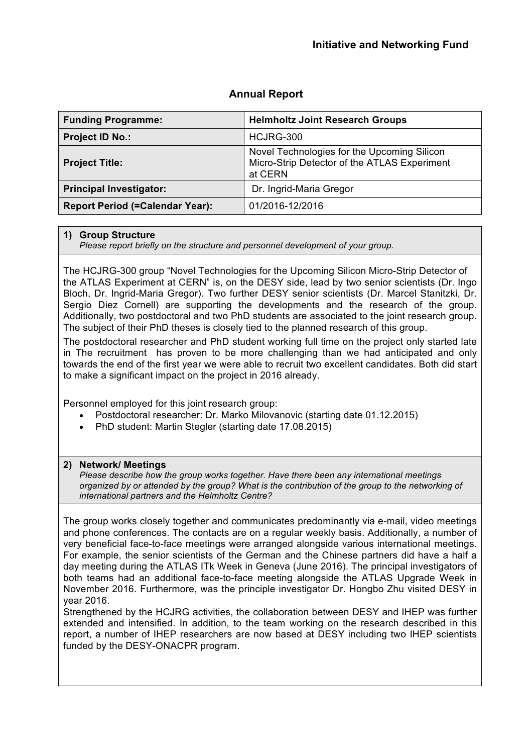| <b>Funding Programme:</b>              | <b>Helmholtz Joint Research Groups</b>                                                                 |
|----------------------------------------|--------------------------------------------------------------------------------------------------------|
| <b>Project ID No.:</b>                 | HCJRG-300                                                                                              |
| <b>Project Title:</b>                  | Novel Technologies for the Upcoming Silicon<br>Micro-Strip Detector of the ATLAS Experiment<br>at CERN |
| <b>Principal Investigator:</b>         | Dr. Ingrid-Maria Gregor                                                                                |
| <b>Report Period (=Calendar Year):</b> | 01/2016-12/2016                                                                                        |

# **Annual Report**

#### **1) Group Structure**

*Please report briefly on the structure and personnel development of your group.*

The HCJRG-300 group "Novel Technologies for the Upcoming Silicon Micro-Strip Detector of the ATLAS Experiment at CERN" is, on the DESY side, lead by two senior scientists (Dr. Ingo Bloch, Dr. Ingrid-Maria Gregor). Two further DESY senior scientists (Dr. Marcel Stanitzki, Dr. Sergio Diez Cornell) are supporting the developments and the research of the group. Additionally, two postdoctoral and two PhD students are associated to the joint research group. The subject of their PhD theses is closely tied to the planned research of this group.

The postdoctoral researcher and PhD student working full time on the project only started late in The recruitment has proven to be more challenging than we had anticipated and only towards the end of the first year we were able to recruit two excellent candidates. Both did start to make a significant impact on the project in 2016 already.

Personnel employed for this joint research group:

- Postdoctoral researcher: Dr. Marko Milovanovic (starting date 01.12.2015)
- PhD student: Martin Stegler (starting date 17.08.2015)

#### **2) Network/ Meetings**

*Please describe how the group works together. Have there been any international meetings organized by or attended by the group? What is the contribution of the group to the networking of international partners and the Helmholtz Centre?*

The group works closely together and communicates predominantly via e-mail, video meetings and phone conferences. The contacts are on a regular weekly basis. Additionally, a number of very beneficial face-to-face meetings were arranged alongside various international meetings. For example, the senior scientists of the German and the Chinese partners did have a half a day meeting during the ATLAS ITk Week in Geneva (June 2016). The principal investigators of both teams had an additional face-to-face meeting alongside the ATLAS Upgrade Week in November 2016. Furthermore, was the principle investigator Dr. Hongbo Zhu visited DESY in year 2016.

Strengthened by the HCJRG activities, the collaboration between DESY and IHEP was further extended and intensified. In addition, to the team working on the research described in this report, a number of IHEP researchers are now based at DESY including two IHEP scientists funded by the DESY-ONACPR program.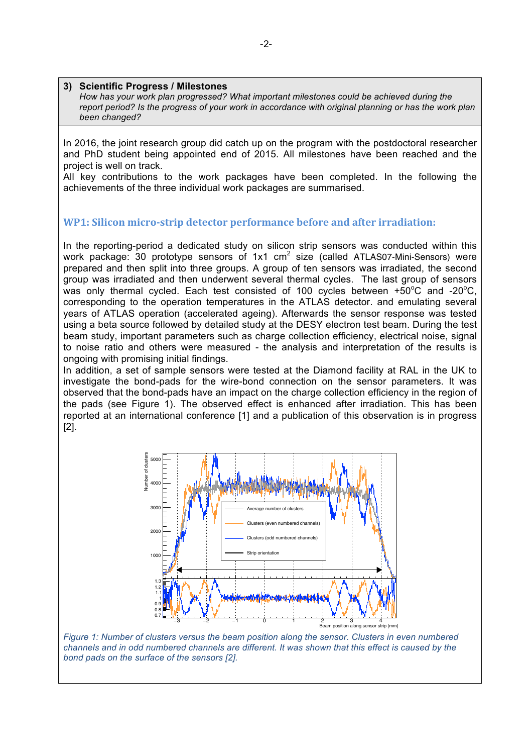#### **3) Scientific Progress / Milestones**

*How has your work plan progressed? What important milestones could be achieved during the report period? Is the progress of your work in accordance with original planning or has the work plan been changed?*

In 2016, the joint research group did catch up on the program with the postdoctoral researcher and PhD student being appointed end of 2015. All milestones have been reached and the project is well on track.

All key contributions to the work packages have been completed. In the following the achievements of the three individual work packages are summarised.

# **WP1: Silicon micro-strip detector performance before and after irradiation:**

In the reporting-period a dedicated study on silicon strip sensors was conducted within this work package: 30 prototype sensors of  $1x1$  cm<sup>2</sup> size (called ATLAS07-Mini-Sensors) were prepared and then split into three groups. A group of ten sensors was irradiated, the second group was irradiated and then underwent several thermal cycles. The last group of sensors was only thermal cycled. Each test consisted of 100 cycles between  $+50^{\circ}$ C and -20 $^{\circ}$ C, corresponding to the operation temperatures in the ATLAS detector. and emulating several years of ATLAS operation (accelerated ageing). Afterwards the sensor response was tested using a beta source followed by detailed study at the DESY electron test beam. During the test beam study, important parameters such as charge collection efficiency, electrical noise, signal to noise ratio and others were measured - the analysis and interpretation of the results is ongoing with promising initial findings.

In addition, a set of sample sensors were tested at the Diamond facility at RAL in the UK to investigate the bond-pads for the wire-bond connection on the sensor parameters. It was observed that the bond-pads have an impact on the charge collection efficiency in the region of the pads (see Figure 1). The observed effect is enhanced after irradiation. This has been reported at an international conference [1] and a publication of this observation is in progress [2].



*Figure 1: Number of clusters versus the beam position along the sensor. Clusters in even numbered*  channels and in odd numbered channels are different. It was shown that this effect is caused by the *bond pads on the surface of the sensors [2].* 

number of clusters in odd/even channels deviates from the average by up to 30 %.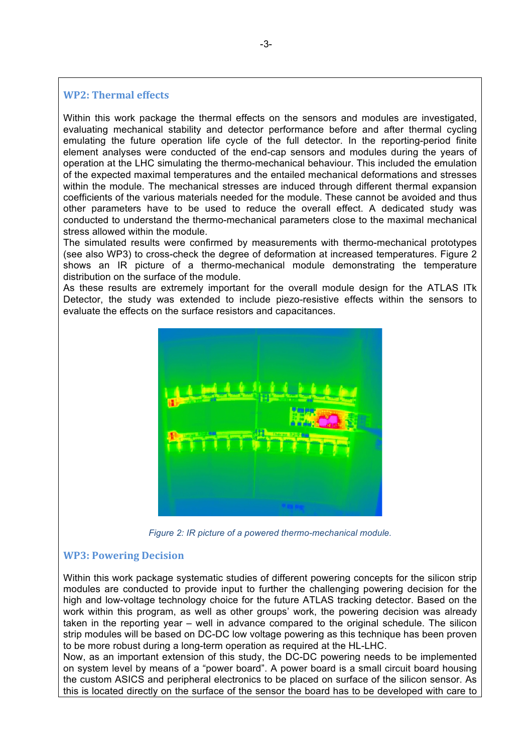## **WP2: Thermal effects**

Within this work package the thermal effects on the sensors and modules are investigated, evaluating mechanical stability and detector performance before and after thermal cycling emulating the future operation life cycle of the full detector. In the reporting-period finite element analyses were conducted of the end-cap sensors and modules during the years of operation at the LHC simulating the thermo-mechanical behaviour. This included the emulation of the expected maximal temperatures and the entailed mechanical deformations and stresses within the module. The mechanical stresses are induced through different thermal expansion coefficients of the various materials needed for the module. These cannot be avoided and thus other parameters have to be used to reduce the overall effect. A dedicated study was conducted to understand the thermo-mechanical parameters close to the maximal mechanical stress allowed within the module.

The simulated results were confirmed by measurements with thermo-mechanical prototypes (see also WP3) to cross-check the degree of deformation at increased temperatures. Figure 2 shows an IR picture of a thermo-mechanical module demonstrating the temperature distribution on the surface of the module.

As these results are extremely important for the overall module design for the ATLAS ITk Detector, the study was extended to include piezo-resistive effects within the sensors to evaluate the effects on the surface resistors and capacitances.



*Figure 2: IR picture of a powered thermo-mechanical module.*

#### **WP3: Powering Decision**

Within this work package systematic studies of different powering concepts for the silicon strip modules are conducted to provide input to further the challenging powering decision for the high and low-voltage technology choice for the future ATLAS tracking detector. Based on the work within this program, as well as other groups' work, the powering decision was already taken in the reporting year – well in advance compared to the original schedule. The silicon strip modules will be based on DC-DC low voltage powering as this technique has been proven to be more robust during a long-term operation as required at the HL-LHC.

Now, as an important extension of this study, the DC-DC powering needs to be implemented on system level by means of a "power board". A power board is a small circuit board housing the custom ASICS and peripheral electronics to be placed on surface of the silicon sensor. As this is located directly on the surface of the sensor the board has to be developed with care to